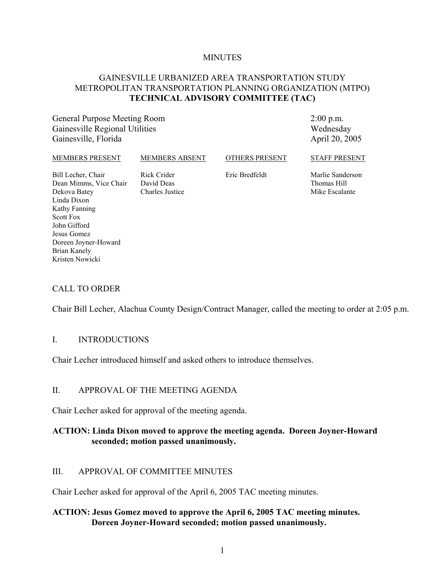#### **MINUTES**

#### GAINESVILLE URBANIZED AREA TRANSPORTATION STUDY METROPOLITAN TRANSPORTATION PLANNING ORGANIZATION (MTPO) **TECHNICAL ADVISORY COMMITTEE (TAC)**

General Purpose Meeting Room Gainesville Regional Utilities Gainesville, Florida

2:00 p.m. Wednesday April 20, 2005

| <b>MEMBERS PRESENT</b>                                                                       | <b>MEMBERS ABSENT</b>                        | <b>OTHERS PRESENT</b> | <b>STAFF PRESENT</b>                              |
|----------------------------------------------------------------------------------------------|----------------------------------------------|-----------------------|---------------------------------------------------|
| Bill Lecher, Chair<br>Dean Mimms, Vice Chair<br>Dekova Batey<br>Linda Dixon<br>Kathy Fanning | Rick Crider<br>David Deas<br>Charles Justice | Eric Bredfeldt        | Marlie Sanderson<br>Thomas Hill<br>Mike Escalante |

#### CALL TO ORDER

Doreen Joyner-Howard

Scott Fox John Gifford Jesus Gomez

Brian Kanely Kristen Nowicki

Chair Bill Lecher, Alachua County Design/Contract Manager, called the meeting to order at 2:05 p.m.

#### I. INTRODUCTIONS

Chair Lecher introduced himself and asked others to introduce themselves.

#### II. APPROVAL OF THE MEETING AGENDA

Chair Lecher asked for approval of the meeting agenda.

#### **ACTION: Linda Dixon moved to approve the meeting agenda. Doreen Joyner-Howard seconded; motion passed unanimously.**

#### III. APPROVAL OF COMMITTEE MINUTES

Chair Lecher asked for approval of the April 6, 2005 TAC meeting minutes.

#### **ACTION: Jesus Gomez moved to approve the April 6, 2005 TAC meeting minutes. Doreen Joyner-Howard seconded; motion passed unanimously.**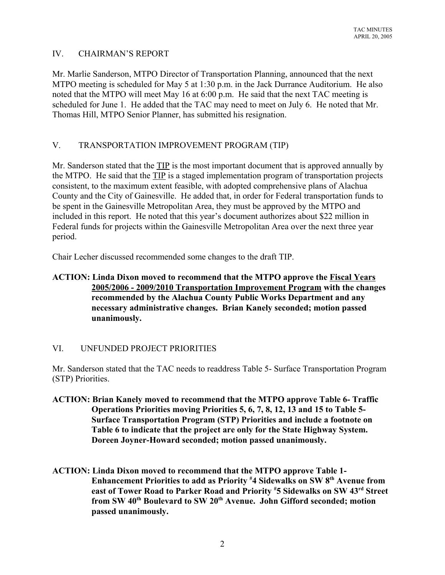## IV. CHAIRMAN'S REPORT

Mr. Marlie Sanderson, MTPO Director of Transportation Planning, announced that the next MTPO meeting is scheduled for May 5 at 1:30 p.m. in the Jack Durrance Auditorium. He also noted that the MTPO will meet May 16 at 6:00 p.m. He said that the next TAC meeting is scheduled for June 1. He added that the TAC may need to meet on July 6. He noted that Mr. Thomas Hill, MTPO Senior Planner, has submitted his resignation.

# V. TRANSPORTATION IMPROVEMENT PROGRAM (TIP)

Mr. Sanderson stated that the TIP is the most important document that is approved annually by the MTPO. He said that the TIP is a staged implementation program of transportation projects consistent, to the maximum extent feasible, with adopted comprehensive plans of Alachua County and the City of Gainesville. He added that, in order for Federal transportation funds to be spent in the Gainesville Metropolitan Area, they must be approved by the MTPO and included in this report. He noted that this year's document authorizes about \$22 million in Federal funds for projects within the Gainesville Metropolitan Area over the next three year period.

Chair Lecher discussed recommended some changes to the draft TIP.

# **ACTION: Linda Dixon moved to recommend that the MTPO approve the Fiscal Years 2005/2006 - 2009/2010 Transportation Improvement Program with the changes recommended by the Alachua County Public Works Department and any necessary administrative changes. Brian Kanely seconded; motion passed unanimously.**

## VI. UNFUNDED PROJECT PRIORITIES

Mr. Sanderson stated that the TAC needs to readdress Table 5- Surface Transportation Program (STP) Priorities.

- **ACTION: Brian Kanely moved to recommend that the MTPO approve Table 6- Traffic Operations Priorities moving Priorities 5, 6, 7, 8, 12, 13 and 15 to Table 5- Surface Transportation Program (STP) Priorities and include a footnote on Table 6 to indicate that the project are only for the State Highway System. Doreen Joyner-Howard seconded; motion passed unanimously.**
- **ACTION: Linda Dixon moved to recommend that the MTPO approve Table 1- Enhancement Priorities to add as Priority # 4 Sidewalks on SW 8th Avenue from east of Tower Road to Parker Road and Priority # 5 Sidewalks on SW 43rd Street from SW 40th Boulevard to SW 20th Avenue. John Gifford seconded; motion passed unanimously.**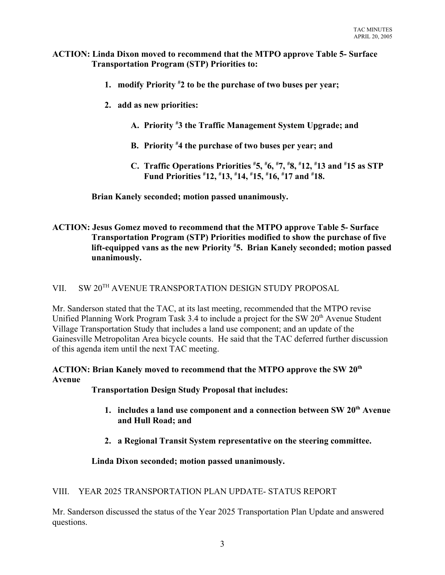#### **ACTION: Linda Dixon moved to recommend that the MTPO approve Table 5- Surface Transportation Program (STP) Priorities to:**

- **1. modify Priority # 2 to be the purchase of two buses per year;**
- **2. add as new priorities:**
	- **A. Priority # 3 the Traffic Management System Upgrade; and**
	- **B. Priority # 4 the purchase of two buses per year; and**
	- **C. Traffic Operations Priorities # 5, # 6, # 7, # 8, # 12, # 13 and # 15 as STP Fund Priorities # 12, # 13, # 14, # 15, # 16, # 17 and # 18.**

**Brian Kanely seconded; motion passed unanimously.**

# **ACTION: Jesus Gomez moved to recommend that the MTPO approve Table 5- Surface Transportation Program (STP) Priorities modified to show the purchase of five lift-equipped vans as the new Priority # 5. Brian Kanely seconded; motion passed unanimously.**

## VII. SW 20<sup>TH</sup> AVENUE TRANSPORTATION DESIGN STUDY PROPOSAL

Mr. Sanderson stated that the TAC, at its last meeting, recommended that the MTPO revise Unified Planning Work Program Task 3.4 to include a project for the SW 20<sup>th</sup> Avenue Student Village Transportation Study that includes a land use component; and an update of the Gainesville Metropolitan Area bicycle counts. He said that the TAC deferred further discussion of this agenda item until the next TAC meeting.

**ACTION: Brian Kanely moved to recommend that the MTPO approve the SW 20th Avenue**

**Transportation Design Study Proposal that includes:**

- 1. includes a land use component and a connection between SW 20<sup>th</sup> Avenue **and Hull Road; and**
- **2. a Regional Transit System representative on the steering committee.**

# **Linda Dixon seconded; motion passed unanimously.**

## VIII. YEAR 2025 TRANSPORTATION PLAN UPDATE- STATUS REPORT

Mr. Sanderson discussed the status of the Year 2025 Transportation Plan Update and answered questions.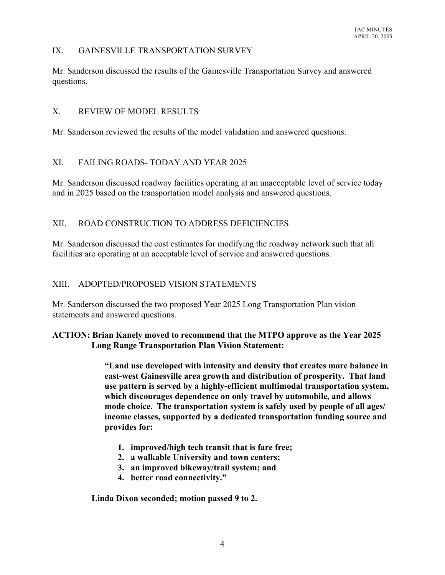#### IX. GAINESVILLE TRANSPORTATION SURVEY

Mr. Sanderson discussed the results of the Gainesville Transportation Survey and answered questions.

#### X. REVIEW OF MODEL RESULTS

Mr. Sanderson reviewed the results of the model validation and answered questions.

## XI. FAILING ROADS- TODAY AND YEAR 2025

Mr. Sanderson discussed roadway facilities operating at an unacceptable level of service today and in 2025 based on the transportation model analysis and answered questions.

## XII. ROAD CONSTRUCTION TO ADDRESS DEFICIENCIES

Mr. Sanderson discussed the cost estimates for modifying the roadway network such that all facilities are operating at an acceptable level of service and answered questions.

## XIII. ADOPTED/PROPOSED VISION STATEMENTS

Mr. Sanderson discussed the two proposed Year 2025 Long Transportation Plan vision statements and answered questions.

## **ACTION: Brian Kanely moved to recommend that the MTPO approve as the Year 2025 Long Range Transportation Plan Vision Statement:**

**"Land use developed with intensity and density that creates more balance in east-west Gainesville area growth and distribution of prosperity. That land use pattern is served by a highly-efficient multimodal transportation system, which discourages dependence on only travel by automobile, and allows mode choice. The transportation system is safely used by people of all ages/ income classes, supported by a dedicated transportation funding source and provides for:**

- **1. improved/high tech transit that is fare free;**
- **2. a walkable University and town centers;**
- **3. an improved bikeway/trail system; and**
- **4. better road connectivity."**

**Linda Dixon seconded; motion passed 9 to 2.**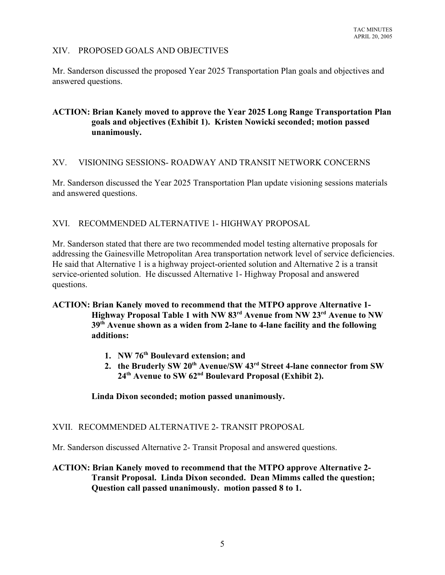#### XIV. PROPOSED GOALS AND OBJECTIVES

Mr. Sanderson discussed the proposed Year 2025 Transportation Plan goals and objectives and answered questions.

## **ACTION: Brian Kanely moved to approve the Year 2025 Long Range Transportation Plan goals and objectives (Exhibit 1). Kristen Nowicki seconded; motion passed unanimously.**

#### XV. VISIONING SESSIONS- ROADWAY AND TRANSIT NETWORK CONCERNS

Mr. Sanderson discussed the Year 2025 Transportation Plan update visioning sessions materials and answered questions.

#### XVI. RECOMMENDED ALTERNATIVE 1- HIGHWAY PROPOSAL

Mr. Sanderson stated that there are two recommended model testing alternative proposals for addressing the Gainesville Metropolitan Area transportation network level of service deficiencies. He said that Alternative 1 is a highway project-oriented solution and Alternative 2 is a transit service-oriented solution. He discussed Alternative 1- Highway Proposal and answered questions.

## **ACTION: Brian Kanely moved to recommend that the MTPO approve Alternative 1- Highway Proposal Table 1 with NW 83rd Avenue from NW 23rd Avenue to NW 39th Avenue shown as a widen from 2-lane to 4-lane facility and the following additions:**

- **1. NW 76th Boulevard extension; and**
- 2. the Bruderly SW 20<sup>th</sup> Avenue/SW 43<sup>rd</sup> Street 4-lane connector from SW **24th Avenue to SW 62nd Boulevard Proposal (Exhibit 2).**

#### **Linda Dixon seconded; motion passed unanimously.**

#### XVII. RECOMMENDED ALTERNATIVE 2- TRANSIT PROPOSAL

Mr. Sanderson discussed Alternative 2- Transit Proposal and answered questions.

# **ACTION: Brian Kanely moved to recommend that the MTPO approve Alternative 2- Transit Proposal. Linda Dixon seconded. Dean Mimms called the question; Question call passed unanimously. motion passed 8 to 1.**